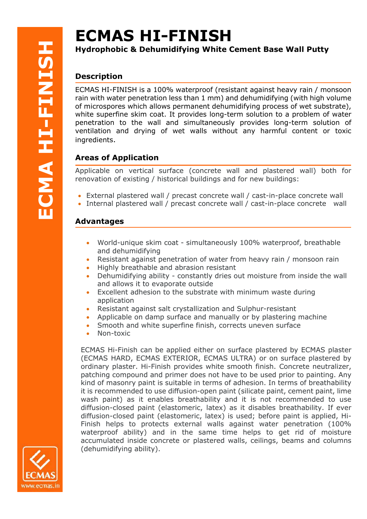# **ECMAS HI-FINISH**

## **Hydrophobic & Dehumidifying White Cement Base Wall Putty**

# **Description**

ECMAS HI-FINISH is a 100% waterproof (resistant against heavy rain / monsoon rain with water penetration less than 1 mm) and dehumidifying (with high volume of microspores which allows permanent dehumidifying process of wet substrate), white superfine skim coat. It provides long-term solution to a problem of water penetration to the wall and simultaneously provides long-term solution of ventilation and drying of wet walls without any harmful content or toxic ingredients.

# **Areas of Application**

Applicable on vertical surface (concrete wall and plastered wall) both for renovation of existing / historical buildings and for new buildings:

- External plastered wall / precast concrete wall / cast-in-place concrete wall
- Internal plastered wall / precast concrete wall / cast-in-place concrete wall

## **Advantages**

- World-unique skim coat simultaneously 100% waterproof, breathable and dehumidifying
- Resistant against penetration of water from heavy rain / monsoon rain
- Highly breathable and abrasion resistant
- Dehumidifying ability constantly dries out moisture from inside the wall and allows it to evaporate outside
- Excellent adhesion to the substrate with minimum waste during application
- Resistant against salt crystallization and Sulphur-resistant
- Applicable on damp surface and manually or by plastering machine
- Smooth and white superfine finish, corrects uneven surface
- Non-toxic

ECMAS Hi-Finish can be applied either on surface plastered by ECMAS plaster (ECMAS HARD, ECMAS EXTERIOR, ECMAS ULTRA) or on surface plastered by ordinary plaster. Hi-Finish provides white smooth finish. Concrete neutralizer, patching compound and primer does not have to be used prior to painting. Any kind of masonry paint is suitable in terms of adhesion. In terms of breathability it is recommended to use diffusion-open paint (silicate paint, cement paint, lime wash paint) as it enables breathability and it is not recommended to use diffusion-closed paint (elastomeric, latex) as it disables breathability. If ever diffusion-closed paint (elastomeric, latex) is used; before paint is applied, Hi-Finish helps to protects external walls against water penetration (100% waterproof ability) and in the same time helps to get rid of moisture accumulated inside concrete or plastered walls, ceilings, beams and columns (dehumidifying ability).

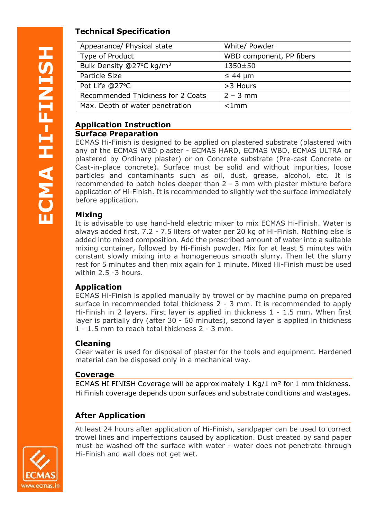# **Technical Specification**

| Appearance/ Physical state           | White/ Powder            |
|--------------------------------------|--------------------------|
| Type of Product                      | WBD component, PP fibers |
| Bulk Density @27°C kg/m <sup>3</sup> | 1350±50                  |
| Particle Size                        | $\leq 44$ µm             |
| Pot Life @27°C                       | >3 Hours                 |
| Recommended Thickness for 2 Coats    | $2 - 3$ mm               |
| Max. Depth of water penetration      | $< 1$ mm                 |

#### **Application Instruction Surface Preparation**

#### ECMAS Hi-Finish is designed to be applied on plastered substrate (plastered with any of the ECMAS WBD plaster - ECMAS HARD, ECMAS WBD, ECMAS ULTRA or plastered by Ordinary plaster) or on Concrete substrate (Pre-cast Concrete or Cast-in-place concrete). Surface must be solid and without impurities, loose particles and contaminants such as oil, dust, grease, alcohol, etc. It is recommended to patch holes deeper than 2 - 3 mm with plaster mixture before application of Hi-Finish. It is recommended to slightly wet the surface immediately before application.

### **Mixing**

It is advisable to use hand-held electric mixer to mix ECMAS Hi-Finish. Water is always added first, 7.2 - 7.5 liters of water per 20 kg of Hi-Finish. Nothing else is added into mixed composition. Add the prescribed amount of water into a suitable mixing container, followed by Hi-Finish powder. Mix for at least 5 minutes with constant slowly mixing into a homogeneous smooth slurry. Then let the slurry rest for 5 minutes and then mix again for 1 minute. Mixed Hi-Finish must be used within 2.5 -3 hours.

## **Application**

ECMAS Hi-Finish is applied manually by trowel or by machine pump on prepared surface in recommended total thickness 2 - 3 mm. It is recommended to apply Hi-Finish in 2 layers. First layer is applied in thickness 1 - 1.5 mm. When first layer is partially dry (after 30 - 60 minutes), second layer is applied in thickness 1 - 1.5 mm to reach total thickness 2 - 3 mm.

## **Cleaning**

Clear water is used for disposal of plaster for the tools and equipment. Hardened material can be disposed only in a mechanical way.

### **Coverage**

ECMAS HI FINISH Coverage will be approximately 1 Kg/1 m² for 1 mm thickness. Hi Finish coverage depends upon surfaces and substrate conditions and wastages.

## **After Application**

At least 24 hours after application of Hi-Finish, sandpaper can be used to correct trowel lines and imperfections caused by application. Dust created by sand paper must be washed off the surface with water - water does not penetrate through Hi-Finish and wall does not get wet.